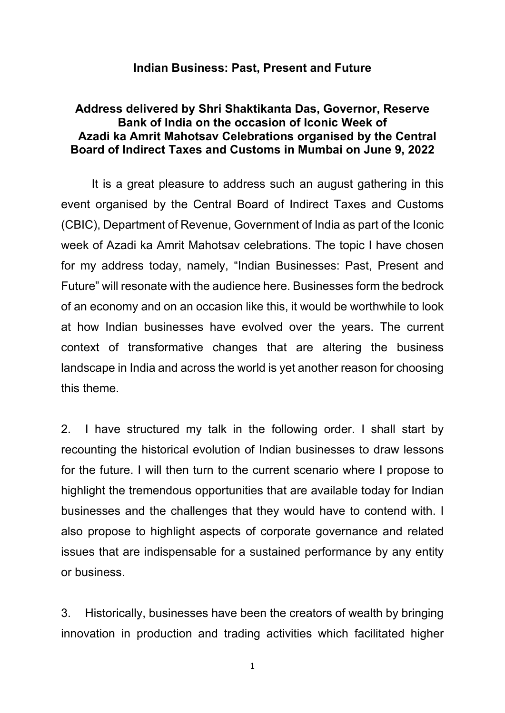### **Indian Business: Past, Present and Future**

## **Address delivered by Shri Shaktikanta Das, Governor, Reserve Bank of India on the occasion of Iconic Week of Azadi ka Amrit Mahotsav Celebrations organised by the Central Board of Indirect Taxes and Customs in Mumbai on June 9, 2022**

 It is a great pleasure to address such an august gathering in this event organised by the Central Board of Indirect Taxes and Customs (CBIC), Department of Revenue, Government of India as part of the Iconic week of Azadi ka Amrit Mahotsav celebrations. The topic I have chosen for my address today, namely, "Indian Businesses: Past, Present and Future" will resonate with the audience here. Businesses form the bedrock of an economy and on an occasion like this, it would be worthwhile to look at how Indian businesses have evolved over the years. The current context of transformative changes that are altering the business landscape in India and across the world is yet another reason for choosing this theme.

2. I have structured my talk in the following order. I shall start by recounting the historical evolution of Indian businesses to draw lessons for the future. I will then turn to the current scenario where I propose to highlight the tremendous opportunities that are available today for Indian businesses and the challenges that they would have to contend with. I also propose to highlight aspects of corporate governance and related issues that are indispensable for a sustained performance by any entity or business.

3. Historically, businesses have been the creators of wealth by bringing innovation in production and trading activities which facilitated higher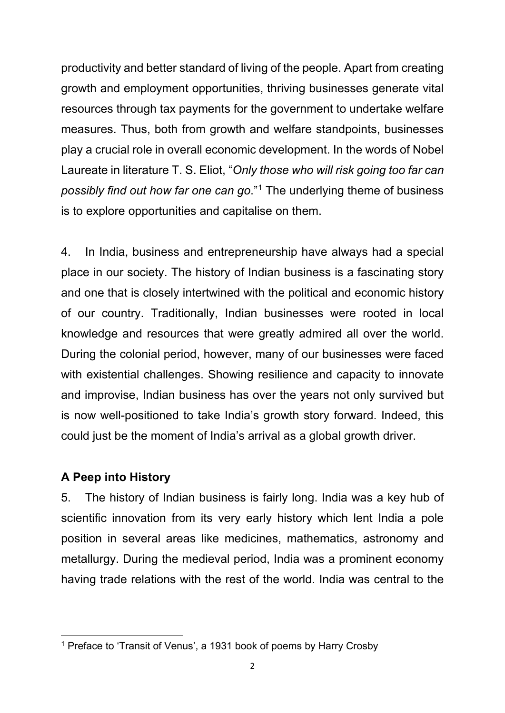productivity and better standard of living of the people. Apart from creating growth and employment opportunities, thriving businesses generate vital resources through tax payments for the government to undertake welfare measures. Thus, both from growth and welfare standpoints, businesses play a crucial role in overall economic development. In the words of Nobel Laureate in literature T. S. Eliot, "*Only those who will risk going too far can possibly find out how far one can go*."[1](#page-1-0) The underlying theme of business is to explore opportunities and capitalise on them.

4. In India, business and entrepreneurship have always had a special place in our society. The history of Indian business is a fascinating story and one that is closely intertwined with the political and economic history of our country. Traditionally, Indian businesses were rooted in local knowledge and resources that were greatly admired all over the world. During the colonial period, however, many of our businesses were faced with existential challenges. Showing resilience and capacity to innovate and improvise, Indian business has over the years not only survived but is now well-positioned to take India's growth story forward. Indeed, this could just be the moment of India's arrival as a global growth driver.

## **A Peep into History**

<u>.</u>

5. The history of Indian business is fairly long. India was a key hub of scientific innovation from its very early history which lent India a pole position in several areas like medicines, mathematics, astronomy and metallurgy. During the medieval period, India was a prominent economy having trade relations with the rest of the world. India was central to the

<span id="page-1-0"></span><sup>1</sup> Preface to 'Transit of Venus', a 1931 book of poems by Harry Crosby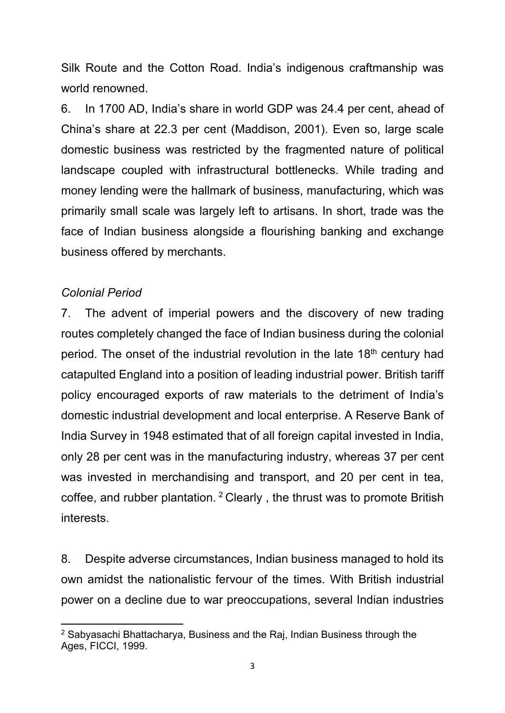Silk Route and the Cotton Road. India's indigenous craftmanship was world renowned.

6. In 1700 AD, India's share in world GDP was 24.4 per cent, ahead of China's share at 22.3 per cent (Maddison, 2001). Even so, large scale domestic business was restricted by the fragmented nature of political landscape coupled with infrastructural bottlenecks. While trading and money lending were the hallmark of business, manufacturing, which was primarily small scale was largely left to artisans. In short, trade was the face of Indian business alongside a flourishing banking and exchange business offered by merchants.

# *Colonial Period*

7. The advent of imperial powers and the discovery of new trading routes completely changed the face of Indian business during the colonial period. The onset of the industrial revolution in the late 18<sup>th</sup> century had catapulted England into a position of leading industrial power. British tariff policy encouraged exports of raw materials to the detriment of India's domestic industrial development and local enterprise. A Reserve Bank of India Survey in 1948 estimated that of all foreign capital invested in India, only 28 per cent was in the manufacturing industry, whereas 37 per cent was invested in merchandising and transport, and 20 per cent in tea, coffee, and rubber plantation. [2](#page-2-0) Clearly , the thrust was to promote British interests.

8. Despite adverse circumstances, Indian business managed to hold its own amidst the nationalistic fervour of the times. With British industrial power on a decline due to war preoccupations, several Indian industries

<span id="page-2-0"></span> $\overline{a}$ <sup>2</sup> Sabyasachi Bhattacharya, Business and the Raj, Indian Business through the Ages, FICCI, 1999.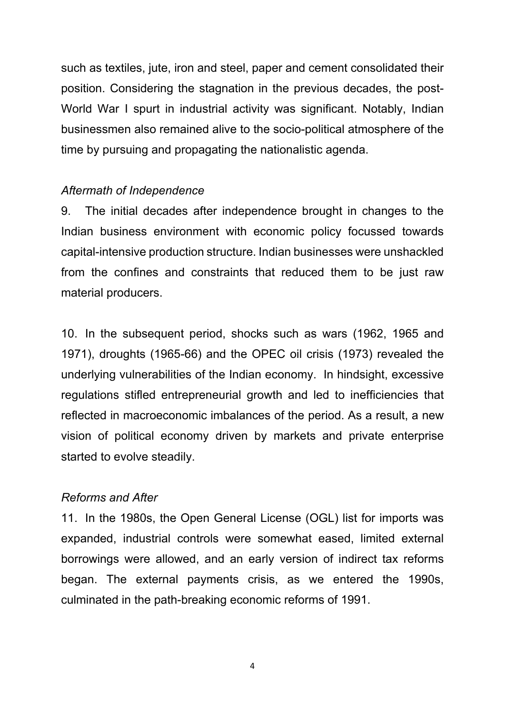such as textiles, jute, iron and steel, paper and cement consolidated their position. Considering the stagnation in the previous decades, the post-World War I spurt in industrial activity was significant. Notably, Indian businessmen also remained alive to the socio-political atmosphere of the time by pursuing and propagating the nationalistic agenda.

### *Aftermath of Independence*

9. The initial decades after independence brought in changes to the Indian business environment with economic policy focussed towards capital-intensive production structure. Indian businesses were unshackled from the confines and constraints that reduced them to be just raw material producers.

10. In the subsequent period, shocks such as wars (1962, 1965 and 1971), droughts (1965-66) and the OPEC oil crisis (1973) revealed the underlying vulnerabilities of the Indian economy. In hindsight, excessive regulations stifled entrepreneurial growth and led to inefficiencies that reflected in macroeconomic imbalances of the period. As a result, a new vision of political economy driven by markets and private enterprise started to evolve steadily.

#### *Reforms and After*

11. In the 1980s, the Open General License (OGL) list for imports was expanded, industrial controls were somewhat eased, limited external borrowings were allowed, and an early version of indirect tax reforms began. The external payments crisis, as we entered the 1990s, culminated in the path-breaking economic reforms of 1991.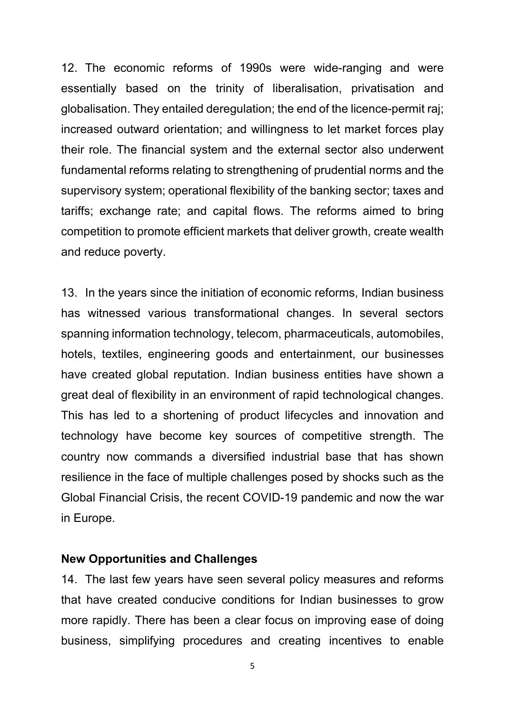12. The economic reforms of 1990s were wide-ranging and were essentially based on the trinity of liberalisation, privatisation and globalisation. They entailed deregulation; the end of the licence-permit raj; increased outward orientation; and willingness to let market forces play their role. The financial system and the external sector also underwent fundamental reforms relating to strengthening of prudential norms and the supervisory system; operational flexibility of the banking sector; taxes and tariffs; exchange rate; and capital flows. The reforms aimed to bring competition to promote efficient markets that deliver growth, create wealth and reduce poverty.

13. In the years since the initiation of economic reforms, Indian business has witnessed various transformational changes. In several sectors spanning information technology, telecom, pharmaceuticals, automobiles, hotels, textiles, engineering goods and entertainment, our businesses have created global reputation. Indian business entities have shown a great deal of flexibility in an environment of rapid technological changes. This has led to a shortening of product lifecycles and innovation and technology have become key sources of competitive strength. The country now commands a diversified industrial base that has shown resilience in the face of multiple challenges posed by shocks such as the Global Financial Crisis, the recent COVID-19 pandemic and now the war in Europe.

### **New Opportunities and Challenges**

14. The last few years have seen several policy measures and reforms that have created conducive conditions for Indian businesses to grow more rapidly. There has been a clear focus on improving ease of doing business, simplifying procedures and creating incentives to enable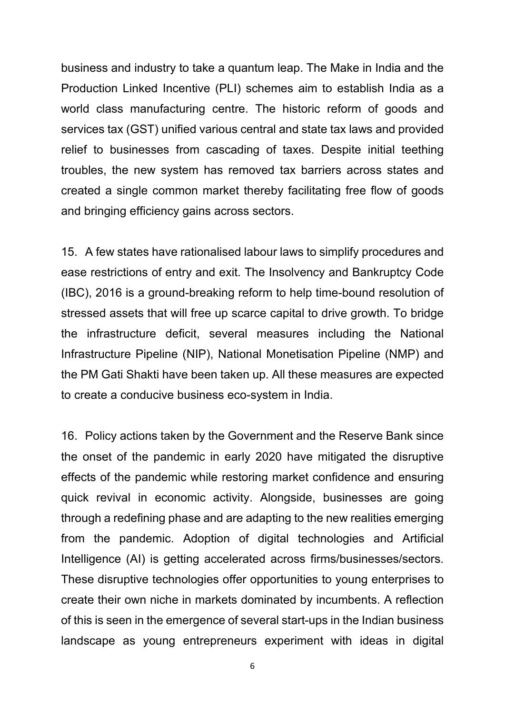business and industry to take a quantum leap. The Make in India and the Production Linked Incentive (PLI) schemes aim to establish India as a world class manufacturing centre. The historic reform of goods and services tax (GST) unified various central and state tax laws and provided relief to businesses from cascading of taxes. Despite initial teething troubles, the new system has removed tax barriers across states and created a single common market thereby facilitating free flow of goods and bringing efficiency gains across sectors.

15. A few states have rationalised labour laws to simplify procedures and ease restrictions of entry and exit. The Insolvency and Bankruptcy Code (IBC), 2016 is a ground-breaking reform to help time-bound resolution of stressed assets that will free up scarce capital to drive growth. To bridge the infrastructure deficit, several measures including the National Infrastructure Pipeline (NIP), National Monetisation Pipeline (NMP) and the PM Gati Shakti have been taken up. All these measures are expected to create a conducive business eco-system in India.

16. Policy actions taken by the Government and the Reserve Bank since the onset of the pandemic in early 2020 have mitigated the disruptive effects of the pandemic while restoring market confidence and ensuring quick revival in economic activity. Alongside, businesses are going through a redefining phase and are adapting to the new realities emerging from the pandemic. Adoption of digital technologies and Artificial Intelligence (AI) is getting accelerated across firms/businesses/sectors. These disruptive technologies offer opportunities to young enterprises to create their own niche in markets dominated by incumbents. A reflection of this is seen in the emergence of several start-ups in the Indian business landscape as young entrepreneurs experiment with ideas in digital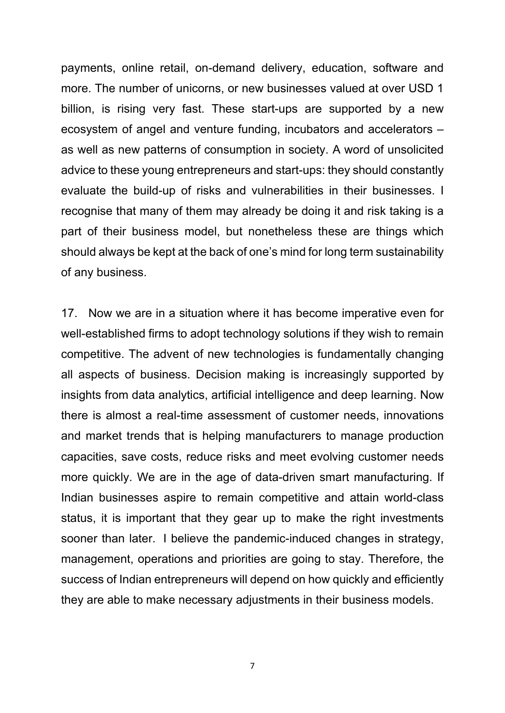payments, online retail, on-demand delivery, education, software and more. The number of unicorns, or new businesses valued at over USD 1 billion, is rising very fast. These start-ups are supported by a new ecosystem of angel and venture funding, incubators and accelerators – as well as new patterns of consumption in society. A word of unsolicited advice to these young entrepreneurs and start-ups: they should constantly evaluate the build-up of risks and vulnerabilities in their businesses. I recognise that many of them may already be doing it and risk taking is a part of their business model, but nonetheless these are things which should always be kept at the back of one's mind for long term sustainability of any business.

17. Now we are in a situation where it has become imperative even for well-established firms to adopt technology solutions if they wish to remain competitive. The advent of new technologies is fundamentally changing all aspects of business. Decision making is increasingly supported by insights from data analytics, artificial intelligence and deep learning. Now there is almost a real-time assessment of customer needs, innovations and market trends that is helping manufacturers to manage production capacities, save costs, reduce risks and meet evolving customer needs more quickly. We are in the age of data-driven smart manufacturing. If Indian businesses aspire to remain competitive and attain world-class status, it is important that they gear up to make the right investments sooner than later. I believe the pandemic-induced changes in strategy, management, operations and priorities are going to stay. Therefore, the success of Indian entrepreneurs will depend on how quickly and efficiently they are able to make necessary adjustments in their business models.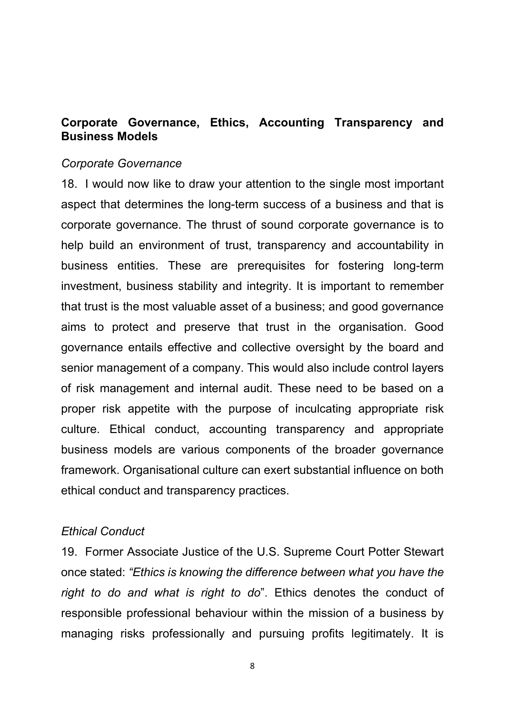## **Corporate Governance, Ethics, Accounting Transparency and Business Models**

#### *Corporate Governance*

18. I would now like to draw your attention to the single most important aspect that determines the long-term success of a business and that is corporate governance. The thrust of sound corporate governance is to help build an environment of trust, transparency and accountability in business entities. These are prerequisites for fostering long-term investment, business stability and integrity. It is important to remember that trust is the most valuable asset of a business; and good governance aims to protect and preserve that trust in the organisation. Good governance entails effective and collective oversight by the board and senior management of a company. This would also include control layers of risk management and internal audit. These need to be based on a proper risk appetite with the purpose of inculcating appropriate risk culture. Ethical conduct, accounting transparency and appropriate business models are various components of the broader governance framework. Organisational culture can exert substantial influence on both ethical conduct and transparency practices.

#### *Ethical Conduct*

19. Former Associate Justice of the U.S. Supreme Court Potter Stewart once stated: *"Ethics is knowing the difference between what you have the right to do and what is right to do*". Ethics denotes the conduct of responsible professional behaviour within the mission of a business by managing risks professionally and pursuing profits legitimately. It is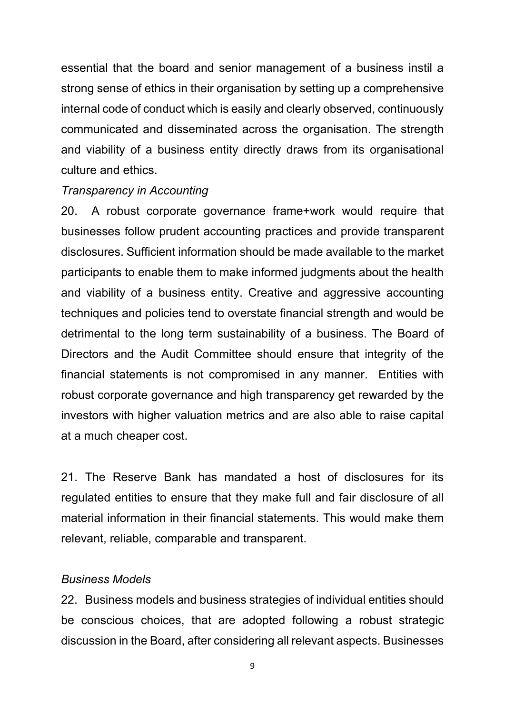essential that the board and senior management of a business instil a strong sense of ethics in their organisation by setting up a comprehensive internal code of conduct which is easily and clearly observed, continuously communicated and disseminated across the organisation. The strength and viability of a business entity directly draws from its organisational culture and ethics.

### *Transparency in Accounting*

20. A robust corporate governance frame+work would require that businesses follow prudent accounting practices and provide transparent disclosures. Sufficient information should be made available to the market participants to enable them to make informed judgments about the health and viability of a business entity. Creative and aggressive accounting techniques and policies tend to overstate financial strength and would be detrimental to the long term sustainability of a business. The Board of Directors and the Audit Committee should ensure that integrity of the financial statements is not compromised in any manner. Entities with robust corporate governance and high transparency get rewarded by the investors with higher valuation metrics and are also able to raise capital at a much cheaper cost.

21. The Reserve Bank has mandated a host of disclosures for its regulated entities to ensure that they make full and fair disclosure of all material information in their financial statements. This would make them relevant, reliable, comparable and transparent.

### *Business Models*

22. Business models and business strategies of individual entities should be conscious choices, that are adopted following a robust strategic discussion in the Board, after considering all relevant aspects. Businesses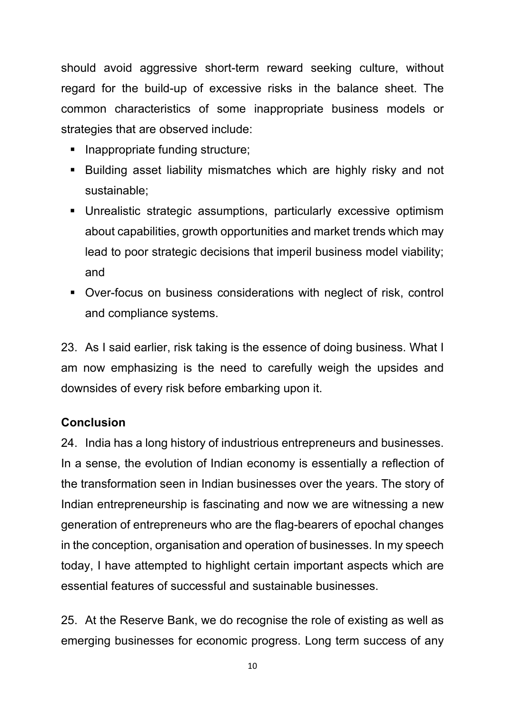should avoid aggressive short-term reward seeking culture, without regard for the build-up of excessive risks in the balance sheet. The common characteristics of some inappropriate business models or strategies that are observed include:

- **Inappropriate funding structure;**
- Building asset liability mismatches which are highly risky and not sustainable;
- Unrealistic strategic assumptions, particularly excessive optimism about capabilities, growth opportunities and market trends which may lead to poor strategic decisions that imperil business model viability; and
- Over-focus on business considerations with neglect of risk, control and compliance systems.

23. As I said earlier, risk taking is the essence of doing business. What I am now emphasizing is the need to carefully weigh the upsides and downsides of every risk before embarking upon it.

# **Conclusion**

24. India has a long history of industrious entrepreneurs and businesses. In a sense, the evolution of Indian economy is essentially a reflection of the transformation seen in Indian businesses over the years. The story of Indian entrepreneurship is fascinating and now we are witnessing a new generation of entrepreneurs who are the flag-bearers of epochal changes in the conception, organisation and operation of businesses. In my speech today, I have attempted to highlight certain important aspects which are essential features of successful and sustainable businesses.

25. At the Reserve Bank, we do recognise the role of existing as well as emerging businesses for economic progress. Long term success of any